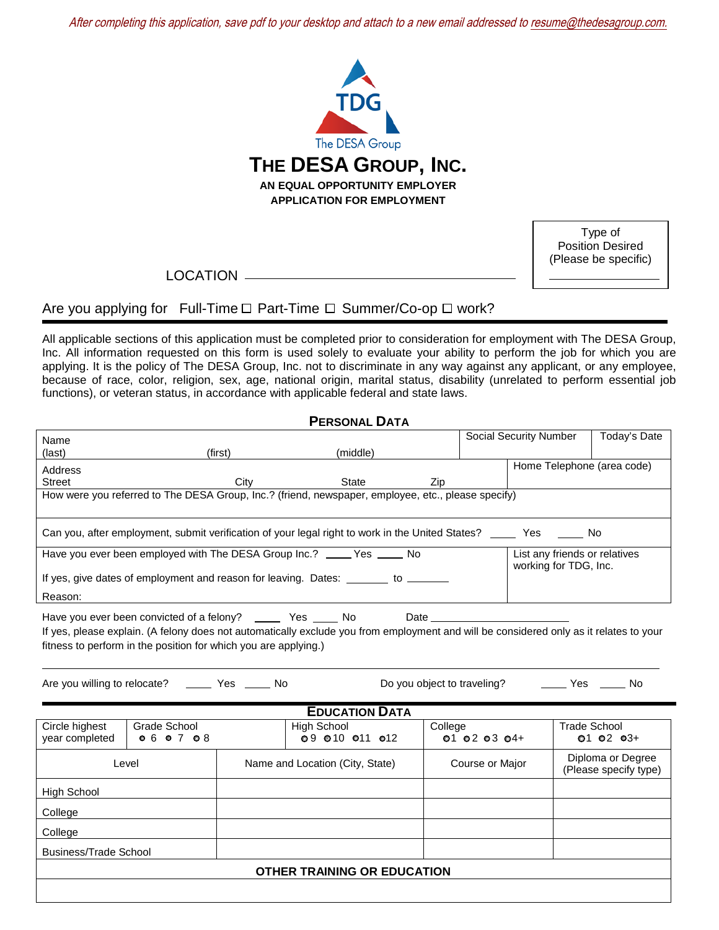After completing this application, save pdf to your desktop and attach to a new email addressed to resume@thedesagroup.com.



 Type of (Please be specific) Position Desired

LOCATION

# Are you applying for Full-Time  $\Box$  Part-Time  $\Box$  Summer/Co-op  $\Box$  work?

All applicable sections of this application must be completed prior to consideration for employment with The DESA Group, Inc. All information requested on this form is used solely to evaluate your ability to perform the job for which you are applying. It is the policy of The DESA Group, Inc. not to discriminate in any way against any applicant, or any employee, because of race, color, religion, sex, age, national origin, marital status, disability (unrelated to perform essential job functions), or veteran status, in accordance with applicable federal and state laws.

| <b>PERSONAL DATA</b>                                                                                                                                                                                                                                                                                                                                |              |         |                                 |         |                 |                               |                                            |  |
|-----------------------------------------------------------------------------------------------------------------------------------------------------------------------------------------------------------------------------------------------------------------------------------------------------------------------------------------------------|--------------|---------|---------------------------------|---------|-----------------|-------------------------------|--------------------------------------------|--|
| Name                                                                                                                                                                                                                                                                                                                                                |              |         |                                 |         |                 | <b>Social Security Number</b> | Today's Date                               |  |
| (last)                                                                                                                                                                                                                                                                                                                                              |              | (first) | (middle)                        |         |                 |                               |                                            |  |
| Address                                                                                                                                                                                                                                                                                                                                             |              |         |                                 |         |                 |                               | Home Telephone (area code)                 |  |
| <b>Street</b>                                                                                                                                                                                                                                                                                                                                       |              | City    | State                           | Zip     |                 |                               |                                            |  |
| How were you referred to The DESA Group, Inc.? (friend, newspaper, employee, etc., please specify)                                                                                                                                                                                                                                                  |              |         |                                 |         |                 |                               |                                            |  |
| Can you, after employment, submit verification of your legal right to work in the United States? ______ Yes ______ No                                                                                                                                                                                                                               |              |         |                                 |         |                 |                               |                                            |  |
| Have you ever been employed with The DESA Group Inc.? ____ Yes ____ No<br>List any friends or relatives<br>working for TDG, Inc.                                                                                                                                                                                                                    |              |         |                                 |         |                 |                               |                                            |  |
| If yes, give dates of employment and reason for leaving. Dates: _______ to ______                                                                                                                                                                                                                                                                   |              |         |                                 |         |                 |                               |                                            |  |
| Reason:                                                                                                                                                                                                                                                                                                                                             |              |         |                                 |         |                 |                               |                                            |  |
| Have you ever been convicted of a felony? _____ Yes ____ No Date ________________<br>If yes, please explain. (A felony does not automatically exclude you from employment and will be considered only as it relates to your<br>fitness to perform in the position for which you are applying.)<br>_____ Yes _____ No<br>Do you object to traveling? |              |         |                                 |         |                 |                               |                                            |  |
| <b>EDUCATION DATA</b>                                                                                                                                                                                                                                                                                                                               |              |         |                                 |         |                 |                               |                                            |  |
| Circle highest                                                                                                                                                                                                                                                                                                                                      | Grade School |         | <b>High School</b>              | College |                 |                               | <b>Trade School</b>                        |  |
| year completed                                                                                                                                                                                                                                                                                                                                      | 060708       |         | 09 010 011 012                  |         | 01 02 03 04+    |                               | $01 02 03+$                                |  |
| Level                                                                                                                                                                                                                                                                                                                                               |              |         | Name and Location (City, State) |         | Course or Major |                               | Diploma or Degree<br>(Please specify type) |  |
| High School                                                                                                                                                                                                                                                                                                                                         |              |         |                                 |         |                 |                               |                                            |  |
| College                                                                                                                                                                                                                                                                                                                                             |              |         |                                 |         |                 |                               |                                            |  |
| College                                                                                                                                                                                                                                                                                                                                             |              |         |                                 |         |                 |                               |                                            |  |
| <b>Business/Trade School</b>                                                                                                                                                                                                                                                                                                                        |              |         |                                 |         |                 |                               |                                            |  |
| <b>OTHER TRAINING OR EDUCATION</b>                                                                                                                                                                                                                                                                                                                  |              |         |                                 |         |                 |                               |                                            |  |
|                                                                                                                                                                                                                                                                                                                                                     |              |         |                                 |         |                 |                               |                                            |  |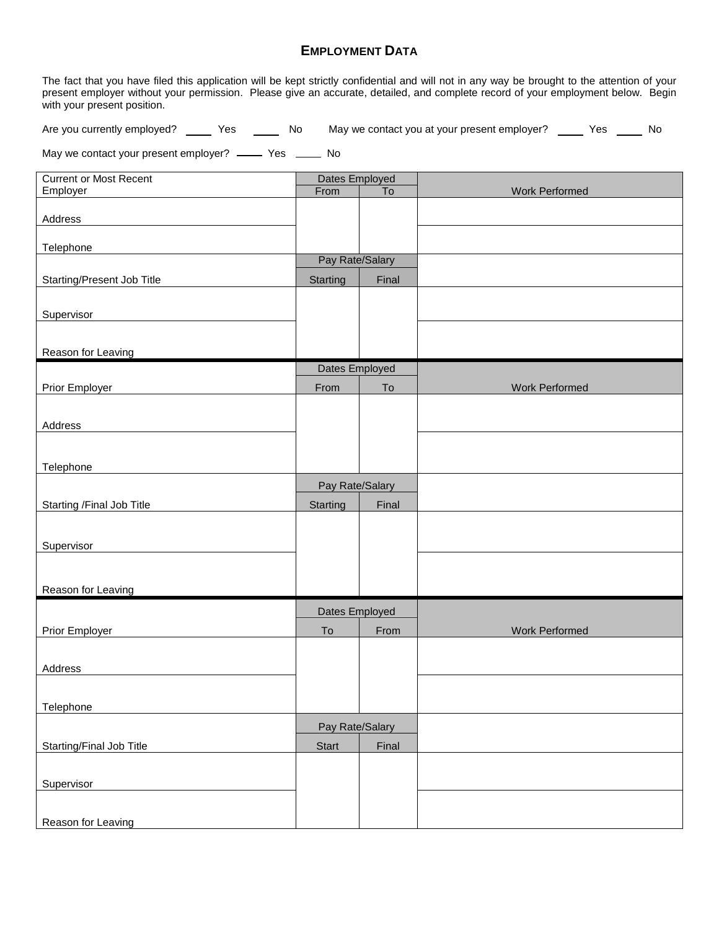### **EMPLOYMENT DATA**

The fact that you have filed this application will be kept strictly confidential and will not in any way be brought to the attention of your present employer without your permission. Please give an accurate, detailed, and complete record of your employment below. Begin with your present position.

Are you currently employed? \_\_\_\_\_ Yes \_\_\_\_\_ No May we contact you at your present employer? \_\_\_\_ Yes \_\_\_\_ No

May we contact your present employer? \_\_\_\_ Yes \_\_\_\_ No

| <b>Current or Most Recent</b> | Dates Employed  |                 |                       |
|-------------------------------|-----------------|-----------------|-----------------------|
| Employer                      | From            | $\overline{To}$ | <b>Work Performed</b> |
|                               |                 |                 |                       |
| Address                       |                 |                 |                       |
|                               |                 |                 |                       |
| Telephone                     |                 |                 |                       |
|                               | Pay Rate/Salary |                 |                       |
|                               |                 |                 |                       |
| Starting/Present Job Title    | <b>Starting</b> | Final           |                       |
|                               |                 |                 |                       |
|                               |                 |                 |                       |
| Supervisor                    |                 |                 |                       |
|                               |                 |                 |                       |
|                               |                 |                 |                       |
| Reason for Leaving            |                 |                 |                       |
|                               | Dates Employed  |                 |                       |
| Prior Employer                | From            | To              | Work Performed        |
|                               |                 |                 |                       |
|                               |                 |                 |                       |
| Address                       |                 |                 |                       |
|                               |                 |                 |                       |
|                               |                 |                 |                       |
| Telephone                     |                 |                 |                       |
|                               |                 |                 |                       |
|                               | Pay Rate/Salary |                 |                       |
| Starting /Final Job Title     | <b>Starting</b> | Final           |                       |
|                               |                 |                 |                       |
|                               |                 |                 |                       |
|                               |                 |                 |                       |
| Supervisor                    |                 |                 |                       |
|                               |                 |                 |                       |
|                               |                 |                 |                       |
| Reason for Leaving            |                 |                 |                       |
|                               |                 |                 |                       |
|                               | Dates Employed  |                 |                       |
| Prior Employer                | To              | From            | Work Performed        |
|                               |                 |                 |                       |
|                               |                 |                 |                       |
| Address                       |                 |                 |                       |
|                               |                 |                 |                       |
|                               |                 |                 |                       |
| Telephone                     |                 |                 |                       |
|                               |                 |                 |                       |
|                               | Pay Rate/Salary |                 |                       |
| Starting/Final Job Title      | <b>Start</b>    | Final           |                       |
|                               |                 |                 |                       |
|                               |                 |                 |                       |
| Supervisor                    |                 |                 |                       |
|                               |                 |                 |                       |
|                               |                 |                 |                       |
| Reason for Leaving            |                 |                 |                       |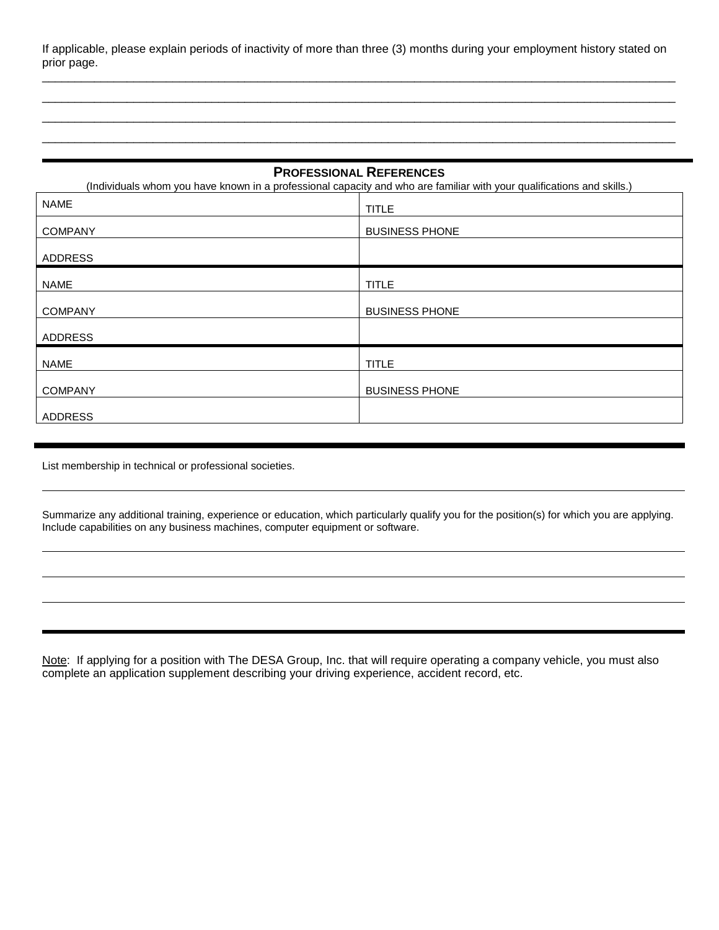If applicable, please explain periods of inactivity of more than three (3) months during your employment history stated on prior page. \_\_\_\_\_\_\_\_\_\_\_\_\_\_\_\_\_\_\_\_\_\_\_\_\_\_\_\_\_\_\_\_\_\_\_\_\_\_\_\_\_\_\_\_\_\_\_\_\_\_\_\_\_\_\_\_\_\_\_\_\_\_\_\_\_\_\_\_\_\_\_\_\_\_\_\_\_\_\_\_\_\_\_\_\_\_\_\_\_\_\_\_\_\_\_\_\_

\_\_\_\_\_\_\_\_\_\_\_\_\_\_\_\_\_\_\_\_\_\_\_\_\_\_\_\_\_\_\_\_\_\_\_\_\_\_\_\_\_\_\_\_\_\_\_\_\_\_\_\_\_\_\_\_\_\_\_\_\_\_\_\_\_\_\_\_\_\_\_\_\_\_\_\_\_\_\_\_\_\_\_\_\_\_\_\_\_\_\_\_\_\_\_\_\_ \_\_\_\_\_\_\_\_\_\_\_\_\_\_\_\_\_\_\_\_\_\_\_\_\_\_\_\_\_\_\_\_\_\_\_\_\_\_\_\_\_\_\_\_\_\_\_\_\_\_\_\_\_\_\_\_\_\_\_\_\_\_\_\_\_\_\_\_\_\_\_\_\_\_\_\_\_\_\_\_\_\_\_\_\_\_\_\_\_\_\_\_\_\_\_\_\_ \_\_\_\_\_\_\_\_\_\_\_\_\_\_\_\_\_\_\_\_\_\_\_\_\_\_\_\_\_\_\_\_\_\_\_\_\_\_\_\_\_\_\_\_\_\_\_\_\_\_\_\_\_\_\_\_\_\_\_\_\_\_\_\_\_\_\_\_\_\_\_\_\_\_\_\_\_\_\_\_\_\_\_\_\_\_\_\_\_\_\_\_\_\_\_\_\_

#### **PROFESSIONAL REFERENCES**

| (Individuals whom you have known in a professional capacity and who are familiar with your qualifications and skills.) |                       |  |  |  |  |
|------------------------------------------------------------------------------------------------------------------------|-----------------------|--|--|--|--|
| <b>NAME</b>                                                                                                            | <b>TITLE</b>          |  |  |  |  |
| <b>COMPANY</b>                                                                                                         | <b>BUSINESS PHONE</b> |  |  |  |  |
| <b>ADDRESS</b>                                                                                                         |                       |  |  |  |  |
| <b>NAME</b>                                                                                                            | <b>TITLE</b>          |  |  |  |  |
| <b>COMPANY</b>                                                                                                         | <b>BUSINESS PHONE</b> |  |  |  |  |
| <b>ADDRESS</b>                                                                                                         |                       |  |  |  |  |
| <b>NAME</b>                                                                                                            | <b>TITLE</b>          |  |  |  |  |
| <b>COMPANY</b>                                                                                                         | <b>BUSINESS PHONE</b> |  |  |  |  |
| ADDRESS                                                                                                                |                       |  |  |  |  |

List membership in technical or professional societies.

Summarize any additional training, experience or education, which particularly qualify you for the position(s) for which you are applying. Include capabilities on any business machines, computer equipment or software.

Note: If applying for a position with The DESA Group, Inc. that will require operating a company vehicle, you must also complete an application supplement describing your driving experience, accident record, etc.